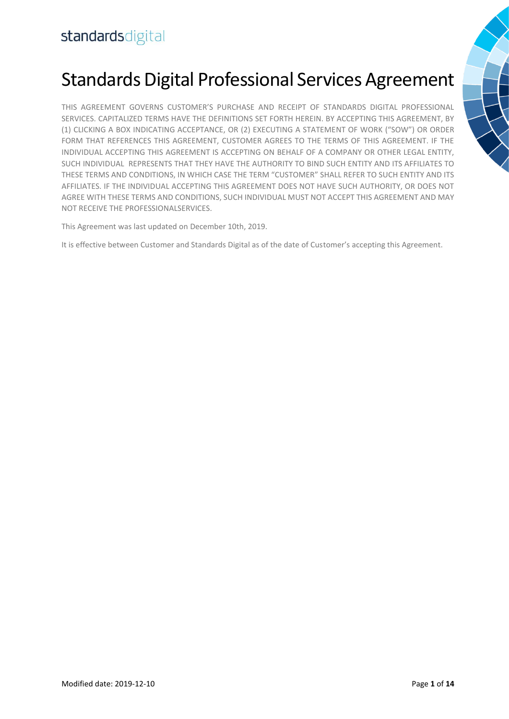# Standards Digital Professional Services Agreement

THIS AGREEMENT GOVERNS CUSTOMER'S PURCHASE AND RECEIPT OF STANDARDS DIGITAL PROFESSIONAL SERVICES. CAPITALIZED TERMS HAVE THE DEFINITIONS SET FORTH HEREIN. BY ACCEPTING THIS AGREEMENT, BY (1) CLICKING A BOX INDICATING ACCEPTANCE, OR (2) EXECUTING A STATEMENT OF WORK ("SOW") OR ORDER FORM THAT REFERENCES THIS AGREEMENT, CUSTOMER AGREES TO THE TERMS OF THIS AGREEMENT. IF THE INDIVIDUAL ACCEPTING THIS AGREEMENT IS ACCEPTING ON BEHALF OF A COMPANY OR OTHER LEGAL ENTITY, SUCH INDIVIDUAL REPRESENTS THAT THEY HAVE THE AUTHORITY TO BIND SUCH ENTITY AND ITS AFFILIATES TO THESE TERMS AND CONDITIONS, IN WHICH CASE THE TERM "CUSTOMER" SHALL REFER TO SUCH ENTITY AND ITS AFFILIATES. IF THE INDIVIDUAL ACCEPTING THIS AGREEMENT DOES NOT HAVE SUCH AUTHORITY, OR DOES NOT AGREE WITH THESE TERMS AND CONDITIONS, SUCH INDIVIDUAL MUST NOT ACCEPT THIS AGREEMENT AND MAY NOT RECEIVE THE PROFESSIONALSERVICES.

This Agreement was last updated on December 10th, 2019.

It is effective between Customer and Standards Digital as of the date of Customer's accepting this Agreement.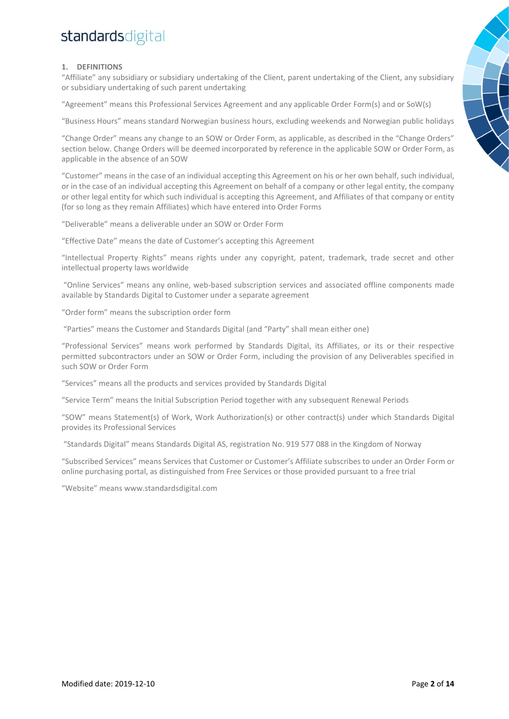### **1. DEFINITIONS**

"Affiliate" any subsidiary or subsidiary undertaking of the Client, parent undertaking of the Client, any subsidiary or subsidiary undertaking of such parent undertaking

"Agreement" means this Professional Services Agreement and any applicable Order Form(s) and or SoW(s)

"Business Hours" means standard Norwegian business hours, excluding weekends and Norwegian public holidays

"Change Order" means any change to an SOW or Order Form, as applicable, as described in the "Change Orders" section below. Change Orders will be deemed incorporated by reference in the applicable SOW or Order Form, as applicable in the absence of an SOW

"Customer" means in the case of an individual accepting this Agreement on his or her own behalf, such individual, or in the case of an individual accepting this Agreement on behalf of a company or other legal entity, the company or other legal entity for which such individual is accepting this Agreement, and Affiliates of that company or entity (for so long as they remain Affiliates) which have entered into Order Forms

"Deliverable" means a deliverable under an SOW or Order Form

"Effective Date" means the date of Customer's accepting this Agreement

"Intellectual Property Rights" means rights under any copyright, patent, trademark, trade secret and other intellectual property laws worldwide

"Online Services" means any online, web-based subscription services and associated offline components made available by Standards Digital to Customer under a separate agreement

"Order form" means the subscription order form

"Parties" means the Customer and Standards Digital (and "Party" shall mean either one)

"Professional Services" means work performed by Standards Digital, its Affiliates, or its or their respective permitted subcontractors under an SOW or Order Form, including the provision of any Deliverables specified in such SOW or Order Form

"Services" means all the products and services provided by Standards Digital

"Service Term" means the Initial Subscription Period together with any subsequent Renewal Periods

"SOW" means Statement(s) of Work, Work Authorization(s) or other contract(s) under which Standards Digital provides its Professional Services

"Standards Digital" means Standards Digital AS, registration No. 919 577 088 in the Kingdom of Norway

"Subscribed Services" means Services that Customer or Customer's Affiliate subscribes to under an Order Form or online purchasing portal, as distinguished from Free Services or those provided pursuant to a free trial

"Website" means www.standardsdigital.com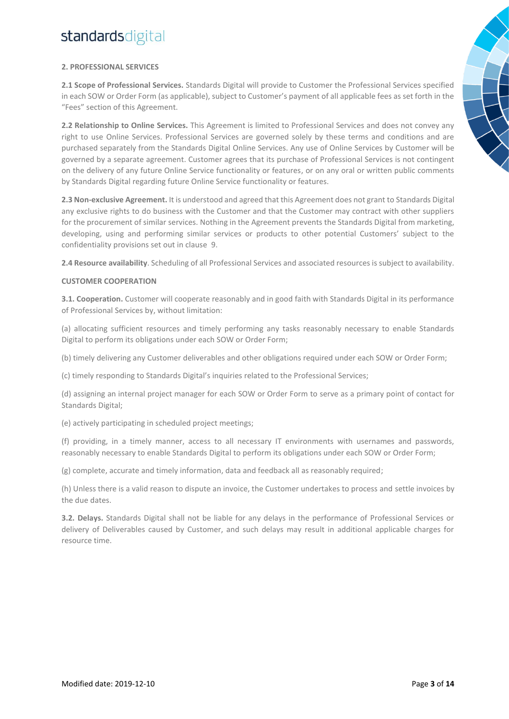### **2. PROFESSIONAL SERVICES**

**2.1 Scope of Professional Services.** Standards Digital will provide to Customer the Professional Services specified in each SOW or Order Form (as applicable), subject to Customer's payment of all applicable fees as set forth in the "Fees" section of this Agreement.

**2.2 Relationship to Online Services.** This Agreement is limited to Professional Services and does not convey any right to use Online Services. Professional Services are governed solely by these terms and conditions and are purchased separately from the Standards Digital Online Services. Any use of Online Services by Customer will be governed by a separate agreement. Customer agrees that its purchase of Professional Services is not contingent on the delivery of any future Online Service functionality or features, or on any oral or written public comments by Standards Digital regarding future Online Service functionality or features.

**2.3 Non-exclusive Agreement.** It is understood and agreed that this Agreement does not grant to Standards Digital any exclusive rights to do business with the Customer and that the Customer may contract with other suppliers for the procurement of similar services. Nothing in the Agreement prevents the Standards Digital from marketing, developing, using and performing similar services or products to other potential Customers' subject to the confidentiality provisions set out in clause 9.

**2.4 Resource availability**. Scheduling of all Professional Services and associated resources is subject to availability.

### **CUSTOMER COOPERATION**

**3.1. Cooperation.** Customer will cooperate reasonably and in good faith with Standards Digital in its performance of Professional Services by, without limitation:

(a) allocating sufficient resources and timely performing any tasks reasonably necessary to enable Standards Digital to perform its obligations under each SOW or Order Form;

(b) timely delivering any Customer deliverables and other obligations required under each SOW or Order Form;

(c) timely responding to Standards Digital's inquiries related to the Professional Services;

(d) assigning an internal project manager for each SOW or Order Form to serve as a primary point of contact for Standards Digital;

(e) actively participating in scheduled project meetings;

(f) providing, in a timely manner, access to all necessary IT environments with usernames and passwords, reasonably necessary to enable Standards Digital to perform its obligations under each SOW or Order Form;

(g) complete, accurate and timely information, data and feedback all as reasonably required;

(h) Unless there is a valid reason to dispute an invoice, the Customer undertakes to process and settle invoices by the due dates.

**3.2. Delays.** Standards Digital shall not be liable for any delays in the performance of Professional Services or delivery of Deliverables caused by Customer, and such delays may result in additional applicable charges for resource time.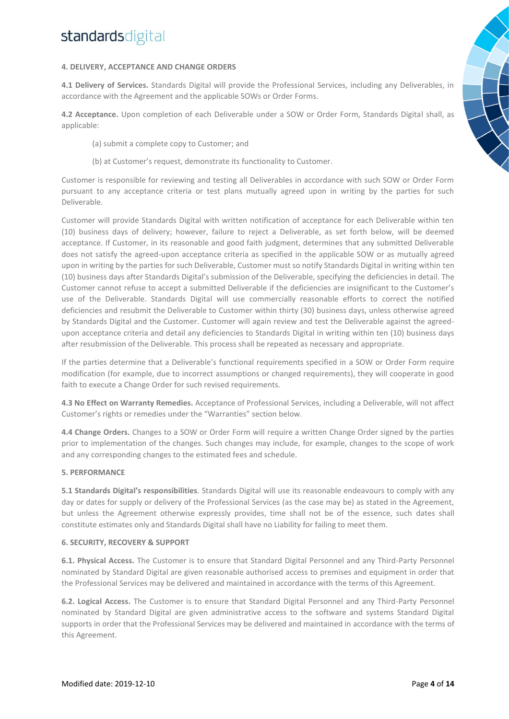#### **4. DELIVERY, ACCEPTANCE AND CHANGE ORDERS**

**4.1 Delivery of Services.** Standards Digital will provide the Professional Services, including any Deliverables, in accordance with the Agreement and the applicable SOWs or Order Forms.

**4.2 Acceptance.** Upon completion of each Deliverable under a SOW or Order Form, Standards Digital shall, as applicable:

- (a) submit a complete copy to Customer; and
- (b) at Customer's request, demonstrate its functionality to Customer.

Customer is responsible for reviewing and testing all Deliverables in accordance with such SOW or Order Form pursuant to any acceptance criteria or test plans mutually agreed upon in writing by the parties for such Deliverable.

Customer will provide Standards Digital with written notification of acceptance for each Deliverable within ten (10) business days of delivery; however, failure to reject a Deliverable, as set forth below, will be deemed acceptance. If Customer, in its reasonable and good faith judgment, determines that any submitted Deliverable does not satisfy the agreed-upon acceptance criteria as specified in the applicable SOW or as mutually agreed upon in writing by the parties for such Deliverable, Customer must so notify Standards Digital in writing within ten (10) business days after Standards Digital's submission of the Deliverable, specifying the deficiencies in detail. The Customer cannot refuse to accept a submitted Deliverable if the deficiencies are insignificant to the Customer's use of the Deliverable. Standards Digital will use commercially reasonable efforts to correct the notified deficiencies and resubmit the Deliverable to Customer within thirty (30) business days, unless otherwise agreed by Standards Digital and the Customer. Customer will again review and test the Deliverable against the agreedupon acceptance criteria and detail any deficiencies to Standards Digital in writing within ten (10) business days after resubmission of the Deliverable. This process shall be repeated as necessary and appropriate.

If the parties determine that a Deliverable's functional requirements specified in a SOW or Order Form require modification (for example, due to incorrect assumptions or changed requirements), they will cooperate in good faith to execute a Change Order for such revised requirements.

**4.3 No Effect on Warranty Remedies.** Acceptance of Professional Services, including a Deliverable, will not affect Customer's rights or remedies under the "Warranties" section below.

**4.4 Change Orders.** Changes to a SOW or Order Form will require a written Change Order signed by the parties prior to implementation of the changes. Such changes may include, for example, changes to the scope of work and any corresponding changes to the estimated fees and schedule.

#### **5. PERFORMANCE**

**5.1 Standards Digital's responsibilities**. Standards Digital will use its reasonable endeavours to comply with any day or dates for supply or delivery of the Professional Services (as the case may be) as stated in the Agreement, but unless the Agreement otherwise expressly provides, time shall not be of the essence, such dates shall constitute estimates only and Standards Digital shall have no Liability for failing to meet them.

#### **6. SECURITY, RECOVERY & SUPPORT**

**6.1. Physical Access.** The Customer is to ensure that Standard Digital Personnel and any Third-Party Personnel nominated by Standard Digital are given reasonable authorised access to premises and equipment in order that the Professional Services may be delivered and maintained in accordance with the terms of this Agreement.

**6.2. Logical Access.** The Customer is to ensure that Standard Digital Personnel and any Third-Party Personnel nominated by Standard Digital are given administrative access to the software and systems Standard Digital supports in order that the Professional Services may be delivered and maintained in accordance with the terms of this Agreement.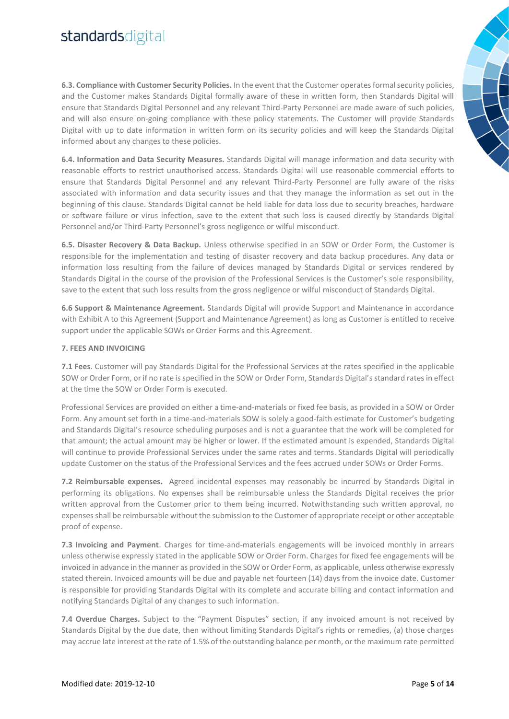**6.3. Compliance with Customer Security Policies.** In the event that the Customer operates formal security policies, and the Customer makes Standards Digital formally aware of these in written form, then Standards Digital will ensure that Standards Digital Personnel and any relevant Third-Party Personnel are made aware of such policies, and will also ensure on-going compliance with these policy statements. The Customer will provide Standards Digital with up to date information in written form on its security policies and will keep the Standards Digital informed about any changes to these policies.

**6.4. Information and Data Security Measures.** Standards Digital will manage information and data security with reasonable efforts to restrict unauthorised access. Standards Digital will use reasonable commercial efforts to ensure that Standards Digital Personnel and any relevant Third-Party Personnel are fully aware of the risks associated with information and data security issues and that they manage the information as set out in the beginning of this clause. Standards Digital cannot be held liable for data loss due to security breaches, hardware or software failure or virus infection, save to the extent that such loss is caused directly by Standards Digital Personnel and/or Third-Party Personnel's gross negligence or wilful misconduct.

**6.5. Disaster Recovery & Data Backup.** Unless otherwise specified in an SOW or Order Form, the Customer is responsible for the implementation and testing of disaster recovery and data backup procedures. Any data or information loss resulting from the failure of devices managed by Standards Digital or services rendered by Standards Digital in the course of the provision of the Professional Services is the Customer's sole responsibility, save to the extent that such loss results from the gross negligence or wilful misconduct of Standards Digital.

**6.6 Support & Maintenance Agreement.** Standards Digital will provide Support and Maintenance in accordance with Exhibit A to this Agreement (Support and Maintenance Agreement) as long as Customer is entitled to receive support under the applicable SOWs or Order Forms and this Agreement.

#### **7. FEES AND INVOICING**

**7.1 Fees**. Customer will pay Standards Digital for the Professional Services at the rates specified in the applicable SOW or Order Form, or if no rate is specified in the SOW or Order Form, Standards Digital's standard rates in effect at the time the SOW or Order Form is executed.

Professional Services are provided on either a time-and-materials or fixed fee basis, as provided in a SOW or Order Form. Any amount set forth in a time-and-materials SOW is solely a good-faith estimate for Customer's budgeting and Standards Digital's resource scheduling purposes and is not a guarantee that the work will be completed for that amount; the actual amount may be higher or lower. If the estimated amount is expended, Standards Digital will continue to provide Professional Services under the same rates and terms. Standards Digital will periodically update Customer on the status of the Professional Services and the fees accrued under SOWs or Order Forms.

**7.2 Reimbursable expenses.** Agreed incidental expenses may reasonably be incurred by Standards Digital in performing its obligations. No expenses shall be reimbursable unless the Standards Digital receives the prior written approval from the Customer prior to them being incurred. Notwithstanding such written approval, no expenses shall be reimbursable without the submission to the Customer of appropriate receipt or other acceptable proof of expense.

**7.3 Invoicing and Payment**. Charges for time-and-materials engagements will be invoiced monthly in arrears unless otherwise expressly stated in the applicable SOW or Order Form. Charges for fixed fee engagements will be invoiced in advance in the manner as provided in the SOW or Order Form, as applicable, unless otherwise expressly stated therein. Invoiced amounts will be due and payable net fourteen (14) days from the invoice date. Customer is responsible for providing Standards Digital with its complete and accurate billing and contact information and notifying Standards Digital of any changes to such information.

**7.4 Overdue Charges.** Subject to the "Payment Disputes" section, if any invoiced amount is not received by Standards Digital by the due date, then without limiting Standards Digital's rights or remedies, (a) those charges may accrue late interest at the rate of 1.5% of the outstanding balance per month, or the maximum rate permitted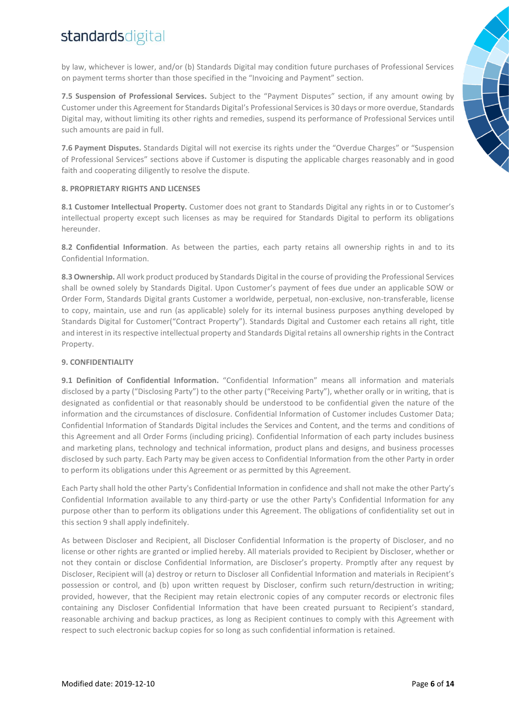by law, whichever is lower, and/or (b) Standards Digital may condition future purchases of Professional Services on payment terms shorter than those specified in the "Invoicing and Payment" section.

**7.5 Suspension of Professional Services.** Subject to the "Payment Disputes" section, if any amount owing by Customer under this Agreement for Standards Digital's Professional Services is 30 days or more overdue, Standards Digital may, without limiting its other rights and remedies, suspend its performance of Professional Services until such amounts are paid in full.

**7.6 Payment Disputes.** Standards Digital will not exercise its rights under the "Overdue Charges" or "Suspension of Professional Services" sections above if Customer is disputing the applicable charges reasonably and in good faith and cooperating diligently to resolve the dispute.

#### **8. PROPRIETARY RIGHTS AND LICENSES**

**8.1 Customer Intellectual Property.** Customer does not grant to Standards Digital any rights in or to Customer's intellectual property except such licenses as may be required for Standards Digital to perform its obligations hereunder.

**8.2 Confidential Information**. As between the parties, each party retains all ownership rights in and to its Confidential Information.

**8.3 Ownership.** All work product produced by Standards Digital in the course of providing the Professional Services shall be owned solely by Standards Digital. Upon Customer's payment of fees due under an applicable SOW or Order Form, Standards Digital grants Customer a worldwide, perpetual, non-exclusive, non-transferable, license to copy, maintain, use and run (as applicable) solely for its internal business purposes anything developed by Standards Digital for Customer("Contract Property"). Standards Digital and Customer each retains all right, title and interest in its respective intellectual property and Standards Digital retains all ownership rights in the Contract Property.

### **9. CONFIDENTIALITY**

**9.1 Definition of Confidential Information.** "Confidential Information" means all information and materials disclosed by a party ("Disclosing Party") to the other party ("Receiving Party"), whether orally or in writing, that is designated as confidential or that reasonably should be understood to be confidential given the nature of the information and the circumstances of disclosure. Confidential Information of Customer includes Customer Data; Confidential Information of Standards Digital includes the Services and Content, and the terms and conditions of this Agreement and all Order Forms (including pricing). Confidential Information of each party includes business and marketing plans, technology and technical information, product plans and designs, and business processes disclosed by such party. Each Party may be given access to Confidential Information from the other Party in order to perform its obligations under this Agreement or as permitted by this Agreement.

Each Party shall hold the other Party's Confidential Information in confidence and shall not make the other Party's Confidential Information available to any third-party or use the other Party's Confidential Information for any purpose other than to perform its obligations under this Agreement. The obligations of confidentiality set out in this section 9 shall apply indefinitely.

As between Discloser and Recipient, all Discloser Confidential Information is the property of Discloser, and no license or other rights are granted or implied hereby. All materials provided to Recipient by Discloser, whether or not they contain or disclose Confidential Information, are Discloser's property. Promptly after any request by Discloser, Recipient will (a) destroy or return to Discloser all Confidential Information and materials in Recipient's possession or control, and (b) upon written request by Discloser, confirm such return/destruction in writing; provided, however, that the Recipient may retain electronic copies of any computer records or electronic files containing any Discloser Confidential Information that have been created pursuant to Recipient's standard, reasonable archiving and backup practices, as long as Recipient continues to comply with this Agreement with respect to such electronic backup copies for so long as such confidential information is retained.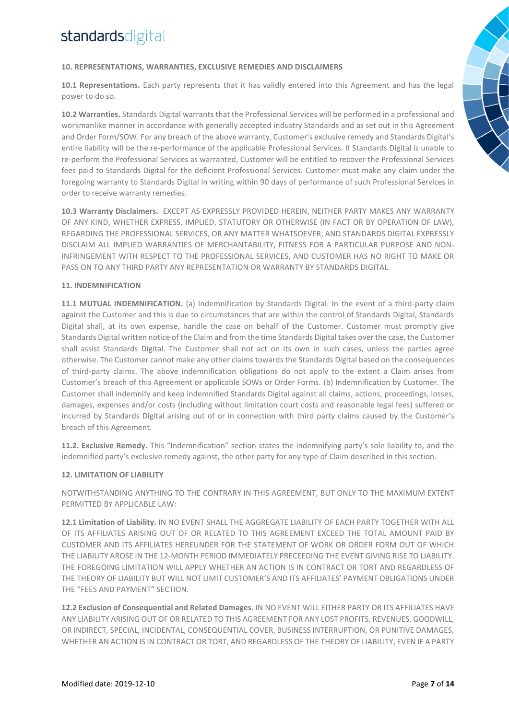### **10. REPRESENTATIONS, WARRANTIES, EXCLUSIVE REMEDIES AND DISCLAIMERS**

**10.1 Representations.** Each party represents that it has validly entered into this Agreement and has the legal power to do so.

**10.2 Warranties.** Standards Digital warrants that the Professional Services will be performed in a professional and workmanlike manner in accordance with generally accepted industry Standards and as set out in this Agreement and Order Form/SOW. For any breach of the above warranty, Customer's exclusive remedy and Standards Digital's entire liability will be the re-performance of the applicable Professional Services. If Standards Digital is unable to re-perform the Professional Services as warranted, Customer will be entitled to recover the Professional Services fees paid to Standards Digital for the deficient Professional Services. Customer must make any claim under the foregoing warranty to Standards Digital in writing within 90 days of performance of such Professional Services in order to receive warranty remedies.

**10.3 Warranty Disclaimers.** EXCEPT AS EXPRESSLY PROVIDED HEREIN, NEITHER PARTY MAKES ANY WARRANTY OF ANY KIND, WHETHER EXPRESS, IMPLIED, STATUTORY OR OTHERWISE (IN FACT OR BY OPERATION OF LAW), REGARDING THE PROFESSIONAL SERVICES, OR ANY MATTER WHATSOEVER; AND STANDARDS DIGITAL EXPRESSLY DISCLAIM ALL IMPLIED WARRANTIES OF MERCHANTABILITY, FITNESS FOR A PARTICULAR PURPOSE AND NON-INFRINGEMENT WITH RESPECT TO THE PROFESSIONAL SERVICES, AND CUSTOMER HAS NO RIGHT TO MAKE OR PASS ON TO ANY THIRD PARTY ANY REPRESENTATION OR WARRANTY BY STANDARDS DIGITAL.

### **11. INDEMNIFICATION**

**11.1 MUTUAL INDEMNIFICATION.** (a) Indemnification by Standards Digital. In the event of a third-party claim against the Customer and this is due to circumstances that are within the control of Standards Digital, Standards Digital shall, at its own expense, handle the case on behalf of the Customer. Customer must promptly give Standards Digital written notice of the Claim and from the time Standards Digital takes over the case, the Customer shall assist Standards Digital. The Customer shall not act on its own in such cases, unless the parties agree otherwise. The Customer cannot make any other claims towards the Standards Digital based on the consequences of third-party claims. The above indemnification obligations do not apply to the extent a Claim arises from Customer's breach of this Agreement or applicable SOWs or Order Forms. (b) Indemnification by Customer. The Customer shall indemnify and keep indemnified Standards Digital against all claims, actions, proceedings, losses, damages, expenses and/or costs (including without limitation court costs and reasonable legal fees) suffered or incurred by Standards Digital arising out of or in connection with third party claims caused by the Customer's breach of this Agreement.

**11.2. Exclusive Remedy.** This "Indemnification" section states the indemnifying party's sole liability to, and the indemnified party's exclusive remedy against, the other party for any type of Claim described in this section.

#### **12. LIMITATION OF LIABILITY**

NOTWITHSTANDING ANYTHING TO THE CONTRARY IN THIS AGREEMENT, BUT ONLY TO THE MAXIMUM EXTENT PERMITTED BY APPLICABLE LAW:

**12.1 Limitation of Liability.** IN NO EVENT SHALL THE AGGREGATE LIABILITY OF EACH PARTY TOGETHER WITH ALL OF ITS AFFILIATES ARISING OUT OF OR RELATED TO THIS AGREEMENT EXCEED THE TOTAL AMOUNT PAID BY CUSTOMER AND ITS AFFILIATES HEREUNDER FOR THE STATEMENT OF WORK OR ORDER FORM OUT OF WHICH THE LIABILITY AROSE IN THE 12-MONTH PERIOD IMMEDIATELY PRECEEDING THE EVENT GIVING RISE TO LIABILITY. THE FOREGOING LIMITATION WILL APPLY WHETHER AN ACTION IS IN CONTRACT OR TORT AND REGARDLESS OF THE THEORY OF LIABILITY BUT WILL NOT LIMIT CUSTOMER'S AND ITS AFFILIATES' PAYMENT OBLIGATIONS UNDER THE "FEES AND PAYMENT" SECTION.

**12.2 Exclusion of Consequential and Related Damages**. IN NO EVENT WILL EITHER PARTY OR ITS AFFILIATES HAVE ANY LIABILITY ARISING OUT OF OR RELATED TO THIS AGREEMENT FOR ANY LOST PROFITS, REVENUES, GOODWILL, OR INDIRECT, SPECIAL, INCIDENTAL, CONSEQUENTIAL COVER, BUSINESS INTERRUPTION, OR PUNITIVE DAMAGES, WHETHER AN ACTION IS IN CONTRACT OR TORT, AND REGARDLESS OF THE THEORY OF LIABILITY, EVEN IF A PARTY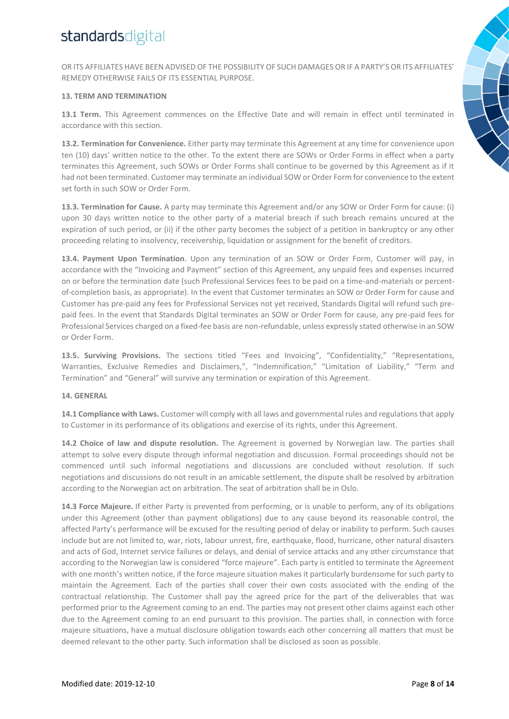OR ITS AFFILIATES HAVE BEEN ADVISED OF THE POSSIBILITY OF SUCH DAMAGES OR IF A PARTY'S OR ITS AFFILIATES' REMEDY OTHERWISE FAILS OF ITS ESSENTIAL PURPOSE.

#### **13. TERM AND TERMINATION**

**13.1 Term.** This Agreement commences on the Effective Date and will remain in effect until terminated in accordance with this section.

**13.2. Termination for Convenience.** Either party may terminate this Agreement at any time for convenience upon ten (10) days' written notice to the other. To the extent there are SOWs or Order Forms in effect when a party terminates this Agreement, such SOWs or Order Forms shall continue to be governed by this Agreement as if it had not been terminated. Customer may terminate an individual SOW or Order Form for convenience to the extent set forth in such SOW or Order Form.

**13.3. Termination for Cause.** A party may terminate this Agreement and/or any SOW or Order Form for cause: (i) upon 30 days written notice to the other party of a material breach if such breach remains uncured at the expiration of such period, or (ii) if the other party becomes the subject of a petition in bankruptcy or any other proceeding relating to insolvency, receivership, liquidation or assignment for the benefit of creditors.

**13.4. Payment Upon Termination**. Upon any termination of an SOW or Order Form, Customer will pay, in accordance with the "Invoicing and Payment" section of this Agreement, any unpaid fees and expenses incurred on or before the termination date (such Professional Services fees to be paid on a time-and-materials or percentof-completion basis, as appropriate). In the event that Customer terminates an SOW or Order Form for cause and Customer has pre-paid any fees for Professional Services not yet received, Standards Digital will refund such prepaid fees. In the event that Standards Digital terminates an SOW or Order Form for cause, any pre-paid fees for Professional Services charged on a fixed-fee basis are non-refundable, unless expressly stated otherwise in an SOW or Order Form.

**13.5. Surviving Provisions.** The sections titled "Fees and Invoicing", "Confidentiality," "Representations, Warranties, Exclusive Remedies and Disclaimers,", "Indemnification," "Limitation of Liability," "Term and Termination" and "General" will survive any termination or expiration of this Agreement.

#### **14. GENERAL**

**14.1 Compliance with Laws.** Customer will comply with all laws and governmental rules and regulations that apply to Customer in its performance of its obligations and exercise of its rights, under this Agreement.

**14.2 Choice of law and dispute resolution.** The Agreement is governed by Norwegian law. The parties shall attempt to solve every dispute through informal negotiation and discussion. Formal proceedings should not be commenced until such informal negotiations and discussions are concluded without resolution. If such negotiations and discussions do not result in an amicable settlement, the dispute shall be resolved by arbitration according to the Norwegian act on arbitration. The seat of arbitration shall be in Oslo.

**14.3 Force Majeure.** If either Party is prevented from performing, or is unable to perform, any of its obligations under this Agreement (other than payment obligations) due to any cause beyond its reasonable control, the affected Party's performance will be excused for the resulting period of delay or inability to perform. Such causes include but are not limited to, war, riots, labour unrest, fire, earthquake, flood, hurricane, other natural disasters and acts of God, Internet service failures or delays, and denial of service attacks and any other circumstance that according to the Norwegian law is considered "force majeure". Each party is entitled to terminate the Agreement with one month's written notice, if the force majeure situation makes it particularly burdensome for such party to maintain the Agreement. Each of the parties shall cover their own costs associated with the ending of the contractual relationship. The Customer shall pay the agreed price for the part of the deliverables that was performed prior to the Agreement coming to an end. The parties may not present other claims against each other due to the Agreement coming to an end pursuant to this provision. The parties shall, in connection with force majeure situations, have a mutual disclosure obligation towards each other concerning all matters that must be deemed relevant to the other party. Such information shall be disclosed as soon as possible.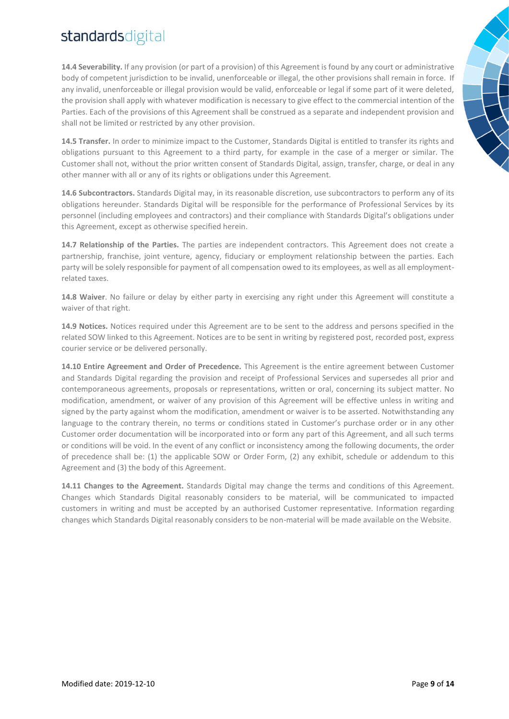**14.4 Severability.** If any provision (or part of a provision) of this Agreement is found by any court or administrative body of competent jurisdiction to be invalid, unenforceable or illegal, the other provisions shall remain in force. If any invalid, unenforceable or illegal provision would be valid, enforceable or legal if some part of it were deleted, the provision shall apply with whatever modification is necessary to give effect to the commercial intention of the Parties. Each of the provisions of this Agreement shall be construed as a separate and independent provision and shall not be limited or restricted by any other provision.

**14.5 Transfer.** In order to minimize impact to the Customer, Standards Digital is entitled to transfer its rights and obligations pursuant to this Agreement to a third party, for example in the case of a merger or similar. The Customer shall not, without the prior written consent of Standards Digital, assign, transfer, charge, or deal in any other manner with all or any of its rights or obligations under this Agreement.

**14.6 Subcontractors.** Standards Digital may, in its reasonable discretion, use subcontractors to perform any of its obligations hereunder. Standards Digital will be responsible for the performance of Professional Services by its personnel (including employees and contractors) and their compliance with Standards Digital's obligations under this Agreement, except as otherwise specified herein.

**14.7 Relationship of the Parties.** The parties are independent contractors. This Agreement does not create a partnership, franchise, joint venture, agency, fiduciary or employment relationship between the parties. Each party will be solely responsible for payment of all compensation owed to its employees, as well as all employmentrelated taxes.

**14.8 Waiver**. No failure or delay by either party in exercising any right under this Agreement will constitute a waiver of that right.

**14.9 Notices.** Notices required under this Agreement are to be sent to the address and persons specified in the related SOW linked to this Agreement. Notices are to be sent in writing by registered post, recorded post, express courier service or be delivered personally.

**14.10 Entire Agreement and Order of Precedence.** This Agreement is the entire agreement between Customer and Standards Digital regarding the provision and receipt of Professional Services and supersedes all prior and contemporaneous agreements, proposals or representations, written or oral, concerning its subject matter. No modification, amendment, or waiver of any provision of this Agreement will be effective unless in writing and signed by the party against whom the modification, amendment or waiver is to be asserted. Notwithstanding any language to the contrary therein, no terms or conditions stated in Customer's purchase order or in any other Customer order documentation will be incorporated into or form any part of this Agreement, and all such terms or conditions will be void. In the event of any conflict or inconsistency among the following documents, the order of precedence shall be: (1) the applicable SOW or Order Form, (2) any exhibit, schedule or addendum to this Agreement and (3) the body of this Agreement.

**14.11 Changes to the Agreement.** Standards Digital may change the terms and conditions of this Agreement. Changes which Standards Digital reasonably considers to be material, will be communicated to impacted customers in writing and must be accepted by an authorised Customer representative. Information regarding changes which Standards Digital reasonably considers to be non-material will be made available on the Website.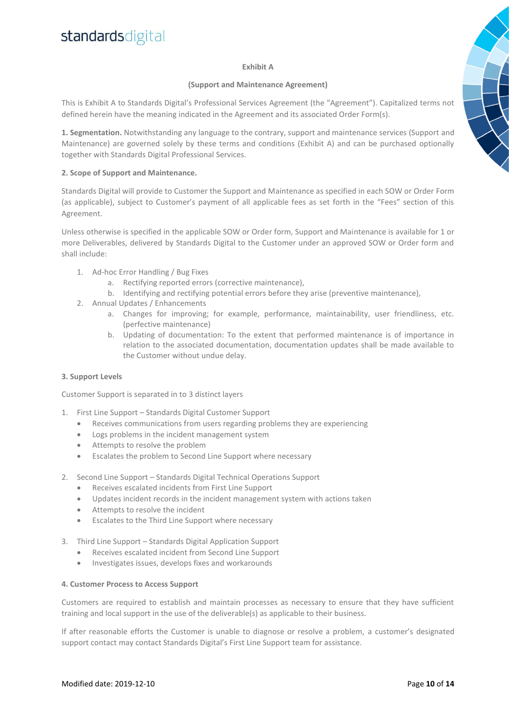#### **Exhibit A**

#### **(Support and Maintenance Agreement)**

This is Exhibit A to Standards Digital's Professional Services Agreement (the "Agreement"). Capitalized terms not defined herein have the meaning indicated in the Agreement and its associated Order Form(s).

**1. Segmentation.** Notwithstanding any language to the contrary, support and maintenance services (Support and Maintenance) are governed solely by these terms and conditions (Exhibit A) and can be purchased optionally together with Standards Digital Professional Services.

### **2. Scope of Support and Maintenance.**

Standards Digital will provide to Customer the Support and Maintenance as specified in each SOW or Order Form (as applicable), subject to Customer's payment of all applicable fees as set forth in the "Fees" section of this Agreement.

Unless otherwise is specified in the applicable SOW or Order form, Support and Maintenance is available for 1 or more Deliverables, delivered by Standards Digital to the Customer under an approved SOW or Order form and shall include:

- 1. Ad-hoc Error Handling / Bug Fixes
	- a. Rectifying reported errors (corrective maintenance),
	- b. Identifying and rectifying potential errors before they arise (preventive maintenance),
- 2. Annual Updates / Enhancements
	- a. Changes for improving; for example, performance, maintainability, user friendliness, etc. (perfective maintenance)
	- b. Updating of documentation: To the extent that performed maintenance is of importance in relation to the associated documentation, documentation updates shall be made available to the Customer without undue delay.

#### **3. Support Levels**

Customer Support is separated in to 3 distinct layers

- 1. First Line Support Standards Digital Customer Support
	- Receives communications from users regarding problems they are experiencing
	- Logs problems in the incident management system
	- Attempts to resolve the problem
	- Escalates the problem to Second Line Support where necessary
- 2. Second Line Support Standards Digital Technical Operations Support
	- Receives escalated incidents from First Line Support
	- Updates incident records in the incident management system with actions taken
	- Attempts to resolve the incident
	- Escalates to the Third Line Support where necessary
- 3. Third Line Support Standards Digital Application Support
	- Receives escalated incident from Second Line Support
	- Investigates issues, develops fixes and workarounds

#### **4. Customer Process to Access Support**

Customers are required to establish and maintain processes as necessary to ensure that they have sufficient training and local support in the use of the deliverable(s) as applicable to their business.

If after reasonable efforts the Customer is unable to diagnose or resolve a problem, a customer's designated support contact may contact Standards Digital's First Line Support team for assistance.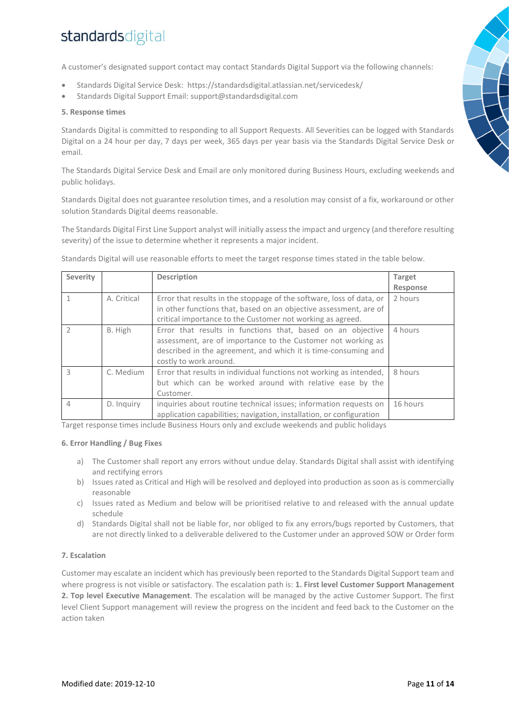A customer's designated support contact may contact Standards Digital Support via the following channels:

- Standards Digital Service Desk: <https://standardsdigital.atlassian.net/servicedesk/>
- Standards Digital Support Email: [support@standardsdigital.com](mailto:support@standardsdigital.com)

#### **5. Response times**

Standards Digital is committed to responding to all Support Requests. All Severities can be logged with Standards Digital on a 24 hour per day, 7 days per week, 365 days per year basis via the Standards Digital Service Desk or email.

The Standards Digital Service Desk and Email are only monitored during Business Hours, excluding weekends and public holidays.

Standards Digital does not guarantee resolution times, and a resolution may consist of a fix, workaround or other solution Standards Digital deems reasonable.

The Standards Digital First Line Support analyst will initially assess the impact and urgency (and therefore resulting severity) of the issue to determine whether it represents a major incident.

Standards Digital will use reasonable efforts to meet the target response times stated in the table below.

| <b>Severity</b> |             | <b>Description</b>                                                                                                                                                                                                      | <b>Target</b> |
|-----------------|-------------|-------------------------------------------------------------------------------------------------------------------------------------------------------------------------------------------------------------------------|---------------|
|                 |             |                                                                                                                                                                                                                         | Response      |
|                 | A. Critical | Error that results in the stoppage of the software, loss of data, or<br>in other functions that, based on an objective assessment, are of<br>critical importance to the Customer not working as agreed.                 | 2 hours       |
|                 | B. High     | Error that results in functions that, based on an objective<br>assessment, are of importance to the Customer not working as<br>described in the agreement, and which it is time-consuming and<br>costly to work around. | 4 hours       |
| ζ               | C. Medium   | Error that results in individual functions not working as intended,<br>but which can be worked around with relative ease by the<br>Customer.                                                                            | 8 hours       |
| 4               | D. Inquiry  | inquiries about routine technical issues; information requests on<br>application capabilities; navigation, installation, or configuration                                                                               | 16 hours      |

Target response times include Business Hours only and exclude weekends and public holidays

#### **6. Error Handling / Bug Fixes**

- a) The Customer shall report any errors without undue delay. Standards Digital shall assist with identifying and rectifying errors
- b) Issues rated as Critical and High will be resolved and deployed into production as soon as is commercially reasonable
- c) Issues rated as Medium and below will be prioritised relative to and released with the annual update schedule
- d) Standards Digital shall not be liable for, nor obliged to fix any errors/bugs reported by Customers, that are not directly linked to a deliverable delivered to the Customer under an approved SOW or Order form

### **7. Escalation**

Customer may escalate an incident which has previously been reported to the Standards Digital Support team and where progress is not visible or satisfactory. The escalation path is: **1. First level Customer Support Management 2. Top level Executive Management**. The escalation will be managed by the active Customer Support. The first level Client Support management will review the progress on the incident and feed back to the Customer on the action taken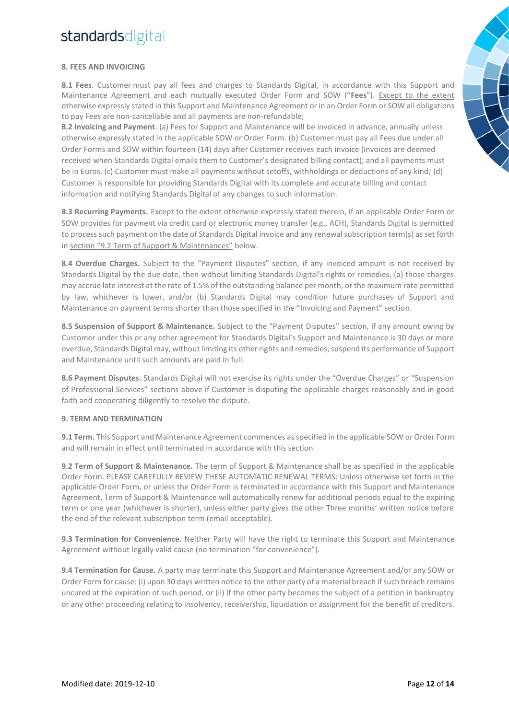### **8. FEES AND INVOICING**

**8.1 Fees**. Customer must pay all fees and charges to Standards Digital, in accordance with this Support and Maintenance Agreement and each mutually executed Order Form and SOW ("**Fees**"). Except to the extent otherwise expressly stated in this Support and Maintenance Agreement or in an Order Form or SOW all obligations to pay Fees are non-cancellable and all payments are non-refundable;

**8.2 Invoicing and Payment**. (a) Fees for Support and Maintenance will be invoiced in advance, annually unless otherwise expressly stated in the applicable SOW or Order Form. (b) Customer must pay all Fees due under all Order Forms and SOW within fourteen (14) days after Customer receives each invoice (invoices are deemed received when Standards Digital emails them to Customer's designated billing contact); and all payments must be in Euros. (c) Customer must make all payments without setoffs, withholdings or deductions of any kind; (d) Customer is responsible for providing Standards Digital with its complete and accurate billing and contact information and notifying Standards Digital of any changes to such information.

**8.3 Recurring Payments.** Except to the extent otherwise expressly stated therein, if an applicable Order Form or SOW provides for payment via credit card or electronic money transfer (e.g., ACH), Standards Digital is permitted to process such payment on the date of Standards Digital invoice and any renewal subscription term(s) as set forth in section "9.2 Term of Support & Maintenances" below.

**8.4 Overdue Charges.** Subject to the "Payment Disputes" section, if any invoiced amount is not received by Standards Digital by the due date, then without limiting Standards Digital's rights or remedies, (a) those charges may accrue late interest at the rate of 1.5% of the outstanding balance per month, or the maximum rate permitted by law, whichever is lower, and/or (b) Standards Digital may condition future purchases of Support and Maintenance on payment terms shorter than those specified in the "Invoicing and Payment" section.

**8.5 Suspension of Support & Maintenance.** Subject to the "Payment Disputes" section, if any amount owing by Customer under this or any other agreement for Standards Digital's Support and Maintenance is 30 days or more overdue, Standards Digital may, without limiting its other rights and remedies, suspend its performance of Support and Maintenance until such amounts are paid in full.

**8.6 Payment Disputes.** Standards Digital will not exercise its rights under the "Overdue Charges" or "Suspension of Professional Services" sections above if Customer is disputing the applicable charges reasonably and in good faith and cooperating diligently to resolve the dispute.

#### **9. TERM AND TERMINATION**

**9.1 Term.** This Support and Maintenance Agreement commences as specified in the applicable SOW or Order Form and will remain in effect until terminated in accordance with this section.

**9.2 Term of Support & Maintenance.** The term of Support & Maintenance shall be as specified in the applicable Order Form. PLEASE CAREFULLY REVIEW THESE AUTOMATIC RENEWAL TERMS: Unless otherwise set forth in the applicable Order Form, or unless the Order Form is terminated in accordance with this Support and Maintenance Agreement, Term of Support & Maintenance will automatically renew for additional periods equal to the expiring term or one year (whichever is shorter), unless either party gives the other Three months' written notice before the end of the relevant subscription term (email acceptable).

**9.3 Termination for Convenience.** Neither Party will have the right to terminate this Support and Maintenance Agreement without legally valid cause (no termination "for convenience").

**9.4 Termination for Cause.** A party may terminate this Support and Maintenance Agreement and/or any SOW or Order Form for cause: (i) upon 30 days written notice to the other party of a material breach if such breach remains uncured at the expiration of such period, or (ii) if the other party becomes the subject of a petition in bankruptcy or any other proceeding relating to insolvency, receivership, liquidation or assignment for the benefit of creditors.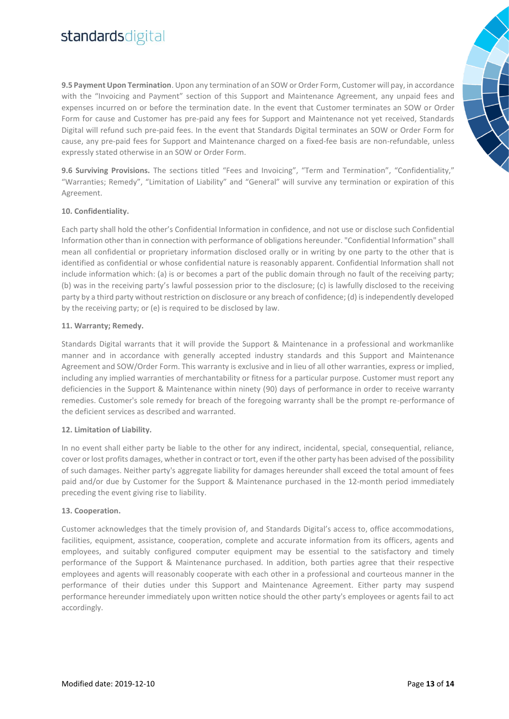**9.5 Payment Upon Termination**. Upon any termination of an SOW or Order Form, Customer will pay, in accordance with the "Invoicing and Payment" section of this Support and Maintenance Agreement, any unpaid fees and expenses incurred on or before the termination date. In the event that Customer terminates an SOW or Order Form for cause and Customer has pre-paid any fees for Support and Maintenance not yet received, Standards Digital will refund such pre-paid fees. In the event that Standards Digital terminates an SOW or Order Form for cause, any pre-paid fees for Support and Maintenance charged on a fixed-fee basis are non-refundable, unless expressly stated otherwise in an SOW or Order Form.

**9.6 Surviving Provisions.** The sections titled "Fees and Invoicing", "Term and Termination", "Confidentiality," "Warranties; Remedy", "Limitation of Liability" and "General" will survive any termination or expiration of this Agreement.

### **10. Confidentiality.**

Each party shall hold the other's Confidential Information in confidence, and not use or disclose such Confidential Information other than in connection with performance of obligations hereunder. "Confidential Information" shall mean all confidential or proprietary information disclosed orally or in writing by one party to the other that is identified as confidential or whose confidential nature is reasonably apparent. Confidential Information shall not include information which: (a) is or becomes a part of the public domain through no fault of the receiving party; (b) was in the receiving party's lawful possession prior to the disclosure; (c) is lawfully disclosed to the receiving party by a third party without restriction on disclosure or any breach of confidence; (d) is independently developed by the receiving party; or (e) is required to be disclosed by law.

### **11. Warranty; Remedy.**

Standards Digital warrants that it will provide the Support & Maintenance in a professional and workmanlike manner and in accordance with generally accepted industry standards and this Support and Maintenance Agreement and SOW/Order Form. This warranty is exclusive and in lieu of all other warranties, express or implied, including any implied warranties of merchantability or fitness for a particular purpose. Customer must report any deficiencies in the Support & Maintenance within ninety (90) days of performance in order to receive warranty remedies. Customer's sole remedy for breach of the foregoing warranty shall be the prompt re-performance of the deficient services as described and warranted.

#### **12. Limitation of Liability.**

In no event shall either party be liable to the other for any indirect, incidental, special, consequential, reliance, cover or lost profits damages, whether in contract or tort, even if the other party has been advised of the possibility of such damages. Neither party's aggregate liability for damages hereunder shall exceed the total amount of fees paid and/or due by Customer for the Support & Maintenance purchased in the 12-month period immediately preceding the event giving rise to liability.

#### **13. Cooperation.**

Customer acknowledges that the timely provision of, and Standards Digital's access to, office accommodations, facilities, equipment, assistance, cooperation, complete and accurate information from its officers, agents and employees, and suitably configured computer equipment may be essential to the satisfactory and timely performance of the Support & Maintenance purchased. In addition, both parties agree that their respective employees and agents will reasonably cooperate with each other in a professional and courteous manner in the performance of their duties under this Support and Maintenance Agreement. Either party may suspend performance hereunder immediately upon written notice should the other party's employees or agents fail to act accordingly.